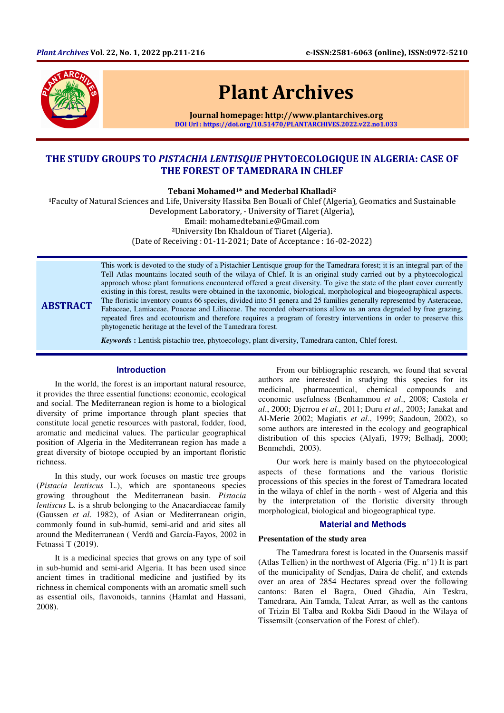

ABSTRACT

# Plant Archives

Journal homepage: http://www.plantarchives.org DOI Url : https://doi.org/10.51470/PLANTARCHIVES.2022.v22.no1.033

## THE STUDY GROUPS TO PISTACHIA LENTISQUE PHYTOECOLOGIQUE IN ALGERIA: CASE OF THE FOREST OF TAMEDRARA IN CHLEF

Tebani Mohamed1\* and Mederbal Khalladi<sup>2</sup>

<sup>1</sup>Faculty of Natural Sciences and Life, University Hassiba Ben Bouali of Chlef (Algeria), Geomatics and Sustainable Development Laboratory, - University of Tiaret (Algeria),

Email: mohamedtebani.e@Gmail.com

<sup>2</sup>University Ibn Khaldoun of Tiaret (Algeria).

(Date of Receiving : 01-11-2021; Date of Acceptance : 16-02-2022)

This work is devoted to the study of a Pistachier Lentisque group for the Tamedrara forest; it is an integral part of the Tell Atlas mountains located south of the wilaya of Chlef. It is an original study carried out by a phytoecological approach whose plant formations encountered offered a great diversity. To give the state of the plant cover currently existing in this forest, results were obtained in the taxonomic, biological, morphological and biogeographical aspects. The floristic inventory counts 66 species, divided into 51 genera and 25 families generally represented by Asteraceae, Fabaceae, Lamiaceae, Poaceae and Liliaceae. The recorded observations allow us an area degraded by free grazing, repeated fires and ecotourism and therefore requires a program of forestry interventions in order to preserve this phytogenetic heritage at the level of the Tamedrara forest.

*Keywords* **:** Lentisk pistachio tree, phytoecology, plant diversity, Tamedrara canton, Chlef forest.

## **Introduction**

In the world, the forest is an important natural resource, it provides the three essential functions: economic, ecological and social. The Mediterranean region is home to a biological diversity of prime importance through plant species that constitute local genetic resources with pastoral, fodder, food, aromatic and medicinal values. The particular geographical position of Algeria in the Mediterranean region has made a great diversity of biotope occupied by an important floristic richness.

In this study, our work focuses on mastic tree groups (*Pistacia lentiscus* L.), which are spontaneous species growing throughout the Mediterranean basin. *Pistacia lentiscus* L. is a shrub belonging to the Anacardiaceae family (Gaussen *et al*. 1982), of Asian or Mediterranean origin, commonly found in sub-humid, semi-arid and arid sites all around the Mediterranean ( Verdŭ and Garcίa-Fayos, 2002 in Fetnassi T (2019).

It is a medicinal species that grows on any type of soil in sub-humid and semi-arid Algeria. It has been used since ancient times in traditional medicine and justified by its richness in chemical components with an aromatic smell such as essential oils, flavonoids, tannins (Hamlat and Hassani, 2008).

From our bibliographic research, we found that several authors are interested in studying this species for its medicinal, pharmaceutical, chemical compounds and economic usefulness (Benhammou *et al*., 2008; Castola *et al*., 2000; Djerrou *et al*., 2011; Duru *et al*., 2003; Janakat and Al-Merie 2002; Magiatis *et al*., 1999; Saadoun, 2002), so some authors are interested in the ecology and geographical distribution of this species (Alyafi, 1979; Belhadj, 2000; Benmehdi, 2003).

Our work here is mainly based on the phytoecological aspects of these formations and the various floristic processions of this species in the forest of Tamedrara located in the wilaya of chlef in the north - west of Algeria and this by the interpretation of the floristic diversity through morphological, biological and biogeographical type.

### **Material and Methods**

#### **Presentation of the study area**

The Tamedrara forest is located in the Ouarsenis massif (Atlas Tellien) in the northwest of Algeria (Fig. n°1) It is part of the municipality of Sendjas, Daira de chelif, and extends over an area of 2854 Hectares spread over the following cantons: Baten el Bagra, Oued Ghadia, Ain Teskra, Tamedrara, Ain Tamda, Taleat Arrar, as well as the cantons of Trizin El Talba and Rokba Sidi Daoud in the Wilaya of Tissemsilt (conservation of the Forest of chlef).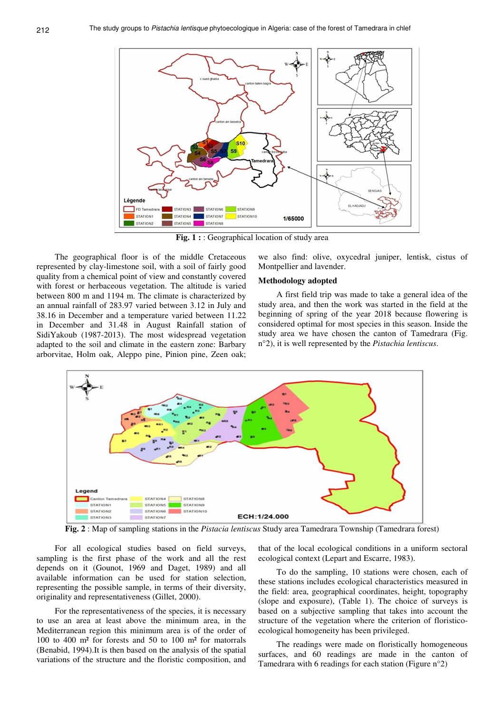

**Fig. 1 :** : Geographical location of study area

The geographical floor is of the middle Cretaceous represented by clay-limestone soil, with a soil of fairly good quality from a chemical point of view and constantly covered with forest or herbaceous vegetation. The altitude is varied between 800 m and 1194 m. The climate is characterized by an annual rainfall of 283.97 varied between 3.12 in July and 38.16 in December and a temperature varied between 11.22 in December and 31.48 in August Rainfall station of SidiYakoub (1987-2013). The most widespread vegetation adapted to the soil and climate in the eastern zone: Barbary arborvitae, Holm oak, Aleppo pine, Pinion pine, Zeen oak;

we also find: olive, oxycedral juniper, lentisk, cistus of Montpellier and lavender.

## **Methodology adopted**

A first field trip was made to take a general idea of the study area, and then the work was started in the field at the beginning of spring of the year 2018 because flowering is considered optimal for most species in this season. Inside the study area we have chosen the canton of Tamedrara (Fig. n°2), it is well represented by the *Pistachia lentiscus*.



**Fig. 2** : Map of sampling stations in the *Pistacia lentiscus* Study area Tamedrara Township (Tamedrara forest)

For all ecological studies based on field surveys, sampling is the first phase of the work and all the rest depends on it (Gounot, 1969 and Daget, 1989) and all available information can be used for station selection, representing the possible sample, in terms of their diversity, originality and representativeness (Gillet, 2000).

For the representativeness of the species, it is necessary to use an area at least above the minimum area, in the Mediterranean region this minimum area is of the order of 100 to 400 m² for forests and 50 to 100 m² for matorrals (Benabid, 1994).It is then based on the analysis of the spatial variations of the structure and the floristic composition, and

that of the local ecological conditions in a uniform sectoral ecological context (Lepart and Escarre, 1983).

To do the sampling, 10 stations were chosen, each of these stations includes ecological characteristics measured in the field: area, geographical coordinates, height, topography (slope and exposure), (Table 1). The choice of surveys is based on a subjective sampling that takes into account the structure of the vegetation where the criterion of floristicoecological homogeneity has been privileged.

The readings were made on floristically homogeneous surfaces, and 60 readings are made in the canton of Tamedrara with 6 readings for each station (Figure n°2)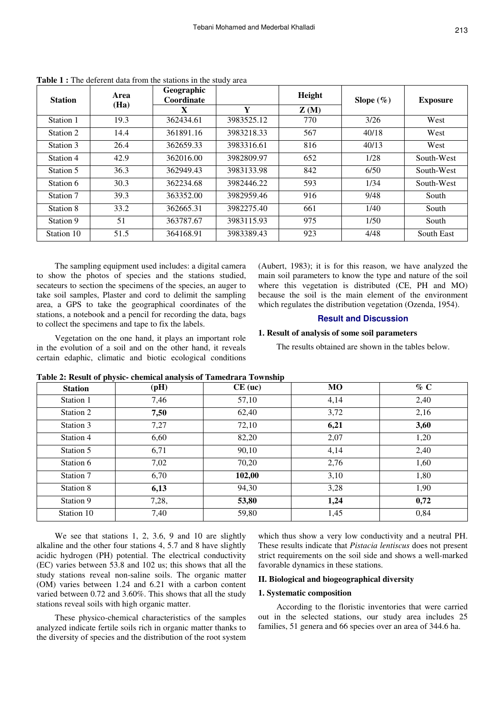| <b>Station</b> | Area<br>(Ha) | Geographic<br>Coordinate |            | Height | Slope $(\%)$ | <b>Exposure</b> |
|----------------|--------------|--------------------------|------------|--------|--------------|-----------------|
|                |              | X                        | Y          | Z(M)   |              |                 |
| Station 1      | 19.3         | 362434.61                | 3983525.12 | 770    | 3/26         | West            |
| Station 2      | 14.4         | 361891.16                | 3983218.33 | 567    | 40/18        | West            |
| Station 3      | 26.4         | 362659.33                | 3983316.61 | 816    | 40/13        | West            |
| Station 4      | 42.9         | 362016.00                | 3982809.97 | 652    | 1/28         | South-West      |
| Station 5      | 36.3         | 362949.43                | 3983133.98 | 842    | 6/50         | South-West      |
| Station 6      | 30.3         | 362234.68                | 3982446.22 | 593    | 1/34         | South-West      |
| Station 7      | 39.3         | 363352.00                | 3982959.46 | 916    | 9/48         | South           |
| Station 8      | 33.2         | 362665.31                | 3982275.40 | 661    | 1/40         | South           |
| Station 9      | 51           | 363787.67                | 3983115.93 | 975    | 1/50         | South           |
| Station 10     | 51.5         | 364168.91                | 3983389.43 | 923    | 4/48         | South East      |

**Table 1 :** The deferent data from the stations in the study area

The sampling equipment used includes: a digital camera to show the photos of species and the stations studied, secateurs to section the specimens of the species, an auger to take soil samples, Plaster and cord to delimit the sampling area, a GPS to take the geographical coordinates of the stations, a notebook and a pencil for recording the data, bags to collect the specimens and tape to fix the labels.

(Aubert, 1983); it is for this reason, we have analyzed the main soil parameters to know the type and nature of the soil where this vegetation is distributed (CE, PH and MO) because the soil is the main element of the environment which regulates the distribution vegetation (Ozenda, 1954).

## **Result and Discussion**

## **1. Result of analysis of some soil parameters**

Vegetation on the one hand, it plays an important role in the evolution of a soil and on the other hand, it reveals certain edaphic, climatic and biotic ecological conditions

The results obtained are shown in the tables below.

| <b>Station</b> | (pH)  | Table 2: Result of physic- chemical analysis of Tameurara Township<br>$CE$ (uc) | <b>MO</b> | $\%$ C |
|----------------|-------|---------------------------------------------------------------------------------|-----------|--------|
| Station 1      | 7,46  | 57,10                                                                           | 4,14      | 2,40   |
| Station 2      | 7,50  | 62,40                                                                           | 3,72      | 2,16   |
| Station 3      | 7,27  | 72,10                                                                           | 6,21      | 3,60   |
| Station 4      | 6,60  | 82,20                                                                           | 2,07      | 1,20   |
| Station 5      | 6,71  | 90,10                                                                           | 4,14      | 2,40   |
| Station 6      | 7,02  | 70,20                                                                           | 2,76      | 1,60   |
| Station 7      | 6,70  | 102,00                                                                          | 3,10      | 1,80   |
| Station 8      | 6,13  | 94.30                                                                           | 3,28      | 1,90   |
| Station 9      | 7,28, | 53,80                                                                           | 1,24      | 0,72   |
| Station 10     | 7,40  | 59,80                                                                           | 1,45      | 0.84   |

| Table 2: Result of physic-chemical analysis of Tamedrara Township |  |
|-------------------------------------------------------------------|--|
|-------------------------------------------------------------------|--|

We see that stations 1, 2, 3.6, 9 and 10 are slightly alkaline and the other four stations 4, 5.7 and 8 have slightly acidic hydrogen (PH) potential. The electrical conductivity (EC) varies between 53.8 and 102 us; this shows that all the study stations reveal non-saline soils. The organic matter (OM) varies between 1.24 and 6.21 with a carbon content varied between 0.72 and 3.60%. This shows that all the study stations reveal soils with high organic matter.

These physico-chemical characteristics of the samples analyzed indicate fertile soils rich in organic matter thanks to the diversity of species and the distribution of the root system

which thus show a very low conductivity and a neutral PH. These results indicate that *Pistacia lentiscus* does not present strict requirements on the soil side and shows a well-marked favorable dynamics in these stations.

## **II. Biological and biogeographical diversity**

#### **1. Systematic composition**

According to the floristic inventories that were carried out in the selected stations, our study area includes 25 families, 51 genera and 66 species over an area of 344.6 ha.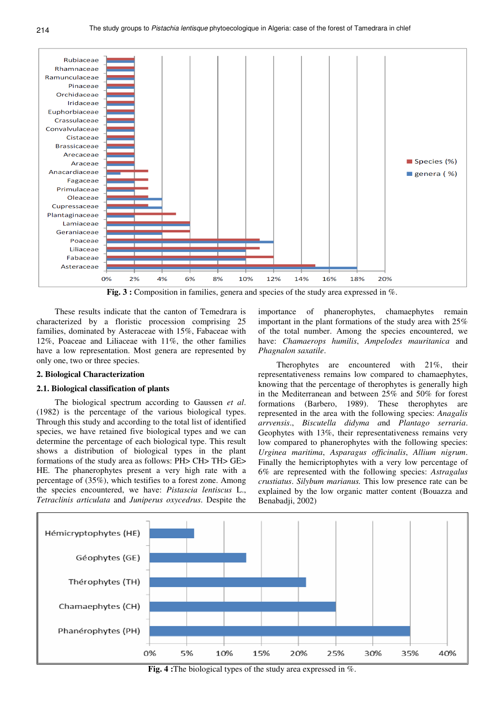

**Fig. 3 :** Composition in families, genera and species of the study area expressed in  $\%$ .

These results indicate that the canton of Temedrara is characterized by a floristic procession comprising 25 families, dominated by Asteraceae with 15%, Fabaceae with 12%, Poaceae and Liliaceae with 11%, the other families have a low representation. Most genera are represented by only one, two or three species.

#### **2. Biological Characterization**

#### **2.1. Biological classification of plants**

The biological spectrum according to Gaussen *et al*. (1982) is the percentage of the various biological types. Through this study and according to the total list of identified species, we have retained five biological types and we can determine the percentage of each biological type. This result shows a distribution of biological types in the plant formations of the study area as follows: PH> CH> TH> GE> HE. The phanerophytes present a very high rate with a percentage of (35%), which testifies to a forest zone. Among the species encountered, we have: *Pistascia lentiscus* L., *Tetraclinis articulata* and *Juniperus oxycedrus*. Despite the

importance of phanerophytes, chamaephytes remain important in the plant formations of the study area with 25% of the total number. Among the species encountered, we have: *Chamaerops humilis*, *Ampelodes mauritanica* and *Phagnalon saxatile*.

Therophytes are encountered with 21%, their representativeness remains low compared to chamaephytes, knowing that the percentage of therophytes is generally high in the Mediterranean and between 25% and 50% for forest formations (Barbero, 1989). These therophytes are represented in the area with the following species: *Anagalis arrvensis*., *Biscutella didyma a*nd *Plantago serraria*. Geophytes with 13%, their representativeness remains very low compared to phanerophytes with the following species: *Urginea maritima*, *Asparagus officinalis*, *Allium nigrum*. Finally the hemicriptophytes with a very low percentage of 6% are represented with the following species: *Astragalus crustiatus*. *Silybum marianus.* This low presence rate can be explained by the low organic matter content (Bouazza and Benabadji, 2002)



**Fig. 4 :**The biological types of the study area expressed in %.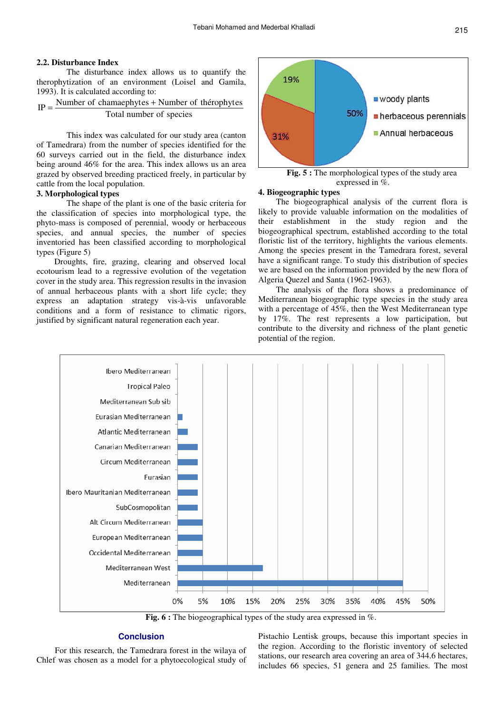## **2.2. Disturbance Index**

The disturbance index allows us to quantify the therophytization of an environment (Loisel and Gamila, 1993). It is calculated according to:

$$
IP = \frac{Number of channelbytes + Number of thérophytes}{Total number of species}
$$

This index was calculated for our study area (canton of Tamedrara) from the number of species identified for the 60 surveys carried out in the field, the disturbance index being around 46% for the area. This index allows us an area grazed by observed breeding practiced freely, in particular by cattle from the local population.

## **3. Morphological types**

The shape of the plant is one of the basic criteria for the classification of species into morphological type, the phyto-mass is composed of perennial, woody or herbaceous species, and annual species, the number of species inventoried has been classified according to morphological types (Figure 5)

Droughts, fire, grazing, clearing and observed local ecotourism lead to a regressive evolution of the vegetation cover in the study area. This regression results in the invasion of annual herbaceous plants with a short life cycle; they express an adaptation strategy vis-à-vis unfavorable conditions and a form of resistance to climatic rigors, justified by significant natural regeneration each year.



#### **4. Biogeographic types**

The biogeographical analysis of the current flora is likely to provide valuable information on the modalities of their establishment in the study region and the biogeographical spectrum, established according to the total floristic list of the territory, highlights the various elements. Among the species present in the Tamedrara forest, several have a significant range. To study this distribution of species we are based on the information provided by the new flora of Algeria Quezel and Santa (1962-1963).

The analysis of the flora shows a predominance of Mediterranean biogeographic type species in the study area with a percentage of 45%, then the West Mediterranean type by 17%. The rest represents a low participation, but contribute to the diversity and richness of the plant genetic potential of the region.



Fig. 6 : The biogeographical types of the study area expressed in %.

## **Conclusion**

For this research, the Tamedrara forest in the wilaya of Chlef was chosen as a model for a phytoecological study of Pistachio Lentisk groups, because this important species in the region. According to the floristic inventory of selected stations, our research area covering an area of 344.6 hectares, includes 66 species, 51 genera and 25 families. The most